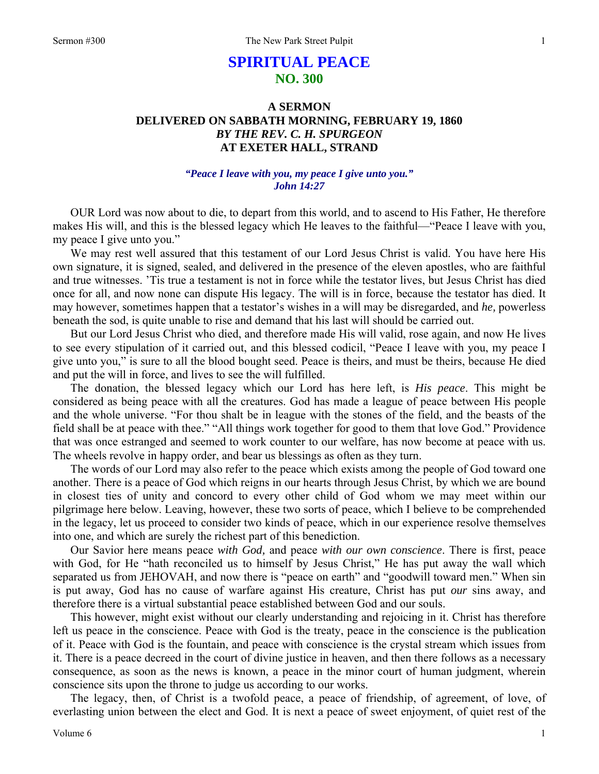# **SPIRITUAL PEACE NO. 300**

## **A SERMON DELIVERED ON SABBATH MORNING, FEBRUARY 19, 1860**  *BY THE REV. C. H. SPURGEON*  **AT EXETER HALL, STRAND**

## *"Peace I leave with you, my peace I give unto you." John 14:27*

OUR Lord was now about to die, to depart from this world, and to ascend to His Father, He therefore makes His will, and this is the blessed legacy which He leaves to the faithful—"Peace I leave with you, my peace I give unto you."

We may rest well assured that this testament of our Lord Jesus Christ is valid. You have here His own signature, it is signed, sealed, and delivered in the presence of the eleven apostles, who are faithful and true witnesses. 'Tis true a testament is not in force while the testator lives, but Jesus Christ has died once for all, and now none can dispute His legacy. The will is in force, because the testator has died. It may however, sometimes happen that a testator's wishes in a will may be disregarded, and *he,* powerless beneath the sod, is quite unable to rise and demand that his last will should be carried out.

But our Lord Jesus Christ who died, and therefore made His will valid, rose again, and now He lives to see every stipulation of it carried out, and this blessed codicil, "Peace I leave with you, my peace I give unto you," is sure to all the blood bought seed. Peace is theirs, and must be theirs, because He died and put the will in force, and lives to see the will fulfilled.

The donation, the blessed legacy which our Lord has here left, is *His peace*. This might be considered as being peace with all the creatures. God has made a league of peace between His people and the whole universe. "For thou shalt be in league with the stones of the field, and the beasts of the field shall be at peace with thee." "All things work together for good to them that love God." Providence that was once estranged and seemed to work counter to our welfare, has now become at peace with us. The wheels revolve in happy order, and bear us blessings as often as they turn.

The words of our Lord may also refer to the peace which exists among the people of God toward one another. There is a peace of God which reigns in our hearts through Jesus Christ, by which we are bound in closest ties of unity and concord to every other child of God whom we may meet within our pilgrimage here below. Leaving, however, these two sorts of peace, which I believe to be comprehended in the legacy, let us proceed to consider two kinds of peace, which in our experience resolve themselves into one, and which are surely the richest part of this benediction.

Our Savior here means peace *with God,* and peace *with our own conscience*. There is first, peace with God, for He "hath reconciled us to himself by Jesus Christ," He has put away the wall which separated us from JEHOVAH, and now there is "peace on earth" and "goodwill toward men." When sin is put away, God has no cause of warfare against His creature, Christ has put *our* sins away, and therefore there is a virtual substantial peace established between God and our souls.

This however, might exist without our clearly understanding and rejoicing in it. Christ has therefore left us peace in the conscience. Peace with God is the treaty, peace in the conscience is the publication of it. Peace with God is the fountain, and peace with conscience is the crystal stream which issues from it. There is a peace decreed in the court of divine justice in heaven, and then there follows as a necessary consequence, as soon as the news is known, a peace in the minor court of human judgment, wherein conscience sits upon the throne to judge us according to our works.

The legacy, then, of Christ is a twofold peace, a peace of friendship, of agreement, of love, of everlasting union between the elect and God. It is next a peace of sweet enjoyment, of quiet rest of the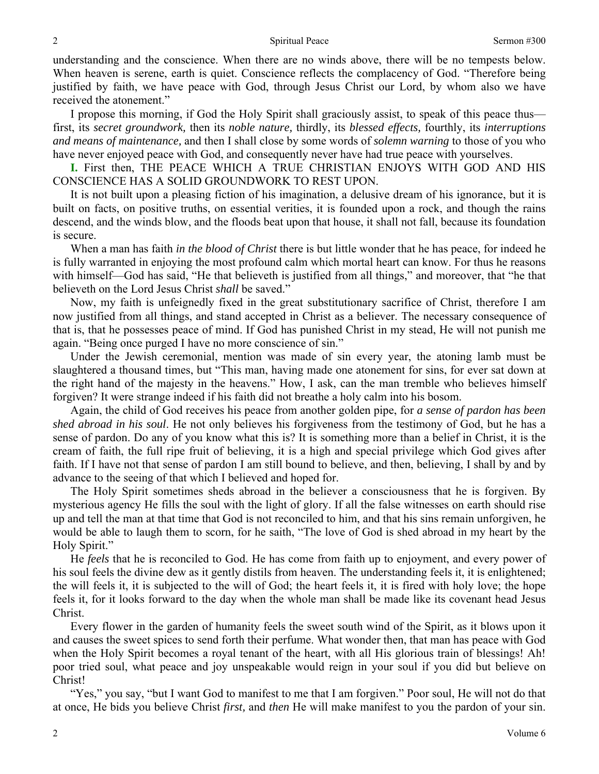understanding and the conscience. When there are no winds above, there will be no tempests below. When heaven is serene, earth is quiet. Conscience reflects the complacency of God. "Therefore being justified by faith, we have peace with God, through Jesus Christ our Lord, by whom also we have received the atonement."

I propose this morning, if God the Holy Spirit shall graciously assist, to speak of this peace thus first, its *secret groundwork,* then its *noble nature,* thirdly, its *blessed effects,* fourthly, its *interruptions and means of maintenance,* and then I shall close by some words of *solemn warning* to those of you who have never enjoyed peace with God, and consequently never have had true peace with yourselves.

**I.** First then, THE PEACE WHICH A TRUE CHRISTIAN ENJOYS WITH GOD AND HIS CONSCIENCE HAS A SOLID GROUNDWORK TO REST UPON.

It is not built upon a pleasing fiction of his imagination, a delusive dream of his ignorance, but it is built on facts, on positive truths, on essential verities, it is founded upon a rock, and though the rains descend, and the winds blow, and the floods beat upon that house, it shall not fall, because its foundation is secure.

When a man has faith *in the blood of Christ* there is but little wonder that he has peace, for indeed he is fully warranted in enjoying the most profound calm which mortal heart can know. For thus he reasons with himself—God has said, "He that believeth is justified from all things," and moreover, that "he that believeth on the Lord Jesus Christ *shall* be saved."

Now, my faith is unfeignedly fixed in the great substitutionary sacrifice of Christ, therefore I am now justified from all things, and stand accepted in Christ as a believer. The necessary consequence of that is, that he possesses peace of mind. If God has punished Christ in my stead, He will not punish me again. "Being once purged I have no more conscience of sin."

Under the Jewish ceremonial, mention was made of sin every year, the atoning lamb must be slaughtered a thousand times, but "This man, having made one atonement for sins, for ever sat down at the right hand of the majesty in the heavens." How, I ask, can the man tremble who believes himself forgiven? It were strange indeed if his faith did not breathe a holy calm into his bosom.

Again, the child of God receives his peace from another golden pipe, for *a sense of pardon has been shed abroad in his soul*. He not only believes his forgiveness from the testimony of God, but he has a sense of pardon. Do any of you know what this is? It is something more than a belief in Christ, it is the cream of faith, the full ripe fruit of believing, it is a high and special privilege which God gives after faith. If I have not that sense of pardon I am still bound to believe, and then, believing, I shall by and by advance to the seeing of that which I believed and hoped for.

The Holy Spirit sometimes sheds abroad in the believer a consciousness that he is forgiven. By mysterious agency He fills the soul with the light of glory. If all the false witnesses on earth should rise up and tell the man at that time that God is not reconciled to him, and that his sins remain unforgiven, he would be able to laugh them to scorn, for he saith, "The love of God is shed abroad in my heart by the Holy Spirit."

He *feels* that he is reconciled to God. He has come from faith up to enjoyment, and every power of his soul feels the divine dew as it gently distils from heaven. The understanding feels it, it is enlightened; the will feels it, it is subjected to the will of God; the heart feels it, it is fired with holy love; the hope feels it, for it looks forward to the day when the whole man shall be made like its covenant head Jesus Christ.

Every flower in the garden of humanity feels the sweet south wind of the Spirit, as it blows upon it and causes the sweet spices to send forth their perfume. What wonder then, that man has peace with God when the Holy Spirit becomes a royal tenant of the heart, with all His glorious train of blessings! Ah! poor tried soul, what peace and joy unspeakable would reign in your soul if you did but believe on Christ!

"Yes," you say, "but I want God to manifest to me that I am forgiven." Poor soul, He will not do that at once, He bids you believe Christ *first,* and *then* He will make manifest to you the pardon of your sin.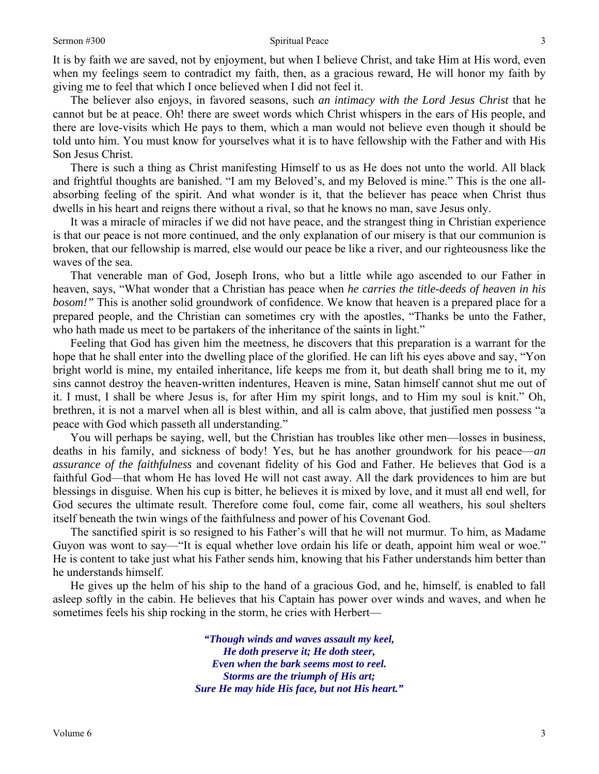It is by faith we are saved, not by enjoyment, but when I believe Christ, and take Him at His word, even when my feelings seem to contradict my faith, then, as a gracious reward, He will honor my faith by giving me to feel that which I once believed when I did not feel it.

The believer also enjoys, in favored seasons, such *an intimacy with the Lord Jesus Christ* that he cannot but be at peace. Oh! there are sweet words which Christ whispers in the ears of His people, and there are love-visits which He pays to them, which a man would not believe even though it should be told unto him. You must know for yourselves what it is to have fellowship with the Father and with His Son Jesus Christ.

There is such a thing as Christ manifesting Himself to us as He does not unto the world. All black and frightful thoughts are banished. "I am my Beloved's, and my Beloved is mine." This is the one allabsorbing feeling of the spirit. And what wonder is it, that the believer has peace when Christ thus dwells in his heart and reigns there without a rival, so that he knows no man, save Jesus only.

It was a miracle of miracles if we did not have peace, and the strangest thing in Christian experience is that our peace is not more continued, and the only explanation of our misery is that our communion is broken, that our fellowship is marred, else would our peace be like a river, and our righteousness like the waves of the sea.

That venerable man of God, Joseph Irons, who but a little while ago ascended to our Father in heaven, says, "What wonder that a Christian has peace when *he carries the title-deeds of heaven in his bosom!"* This is another solid groundwork of confidence. We know that heaven is a prepared place for a prepared people, and the Christian can sometimes cry with the apostles, "Thanks be unto the Father, who hath made us meet to be partakers of the inheritance of the saints in light."

Feeling that God has given him the meetness, he discovers that this preparation is a warrant for the hope that he shall enter into the dwelling place of the glorified. He can lift his eyes above and say, "Yon bright world is mine, my entailed inheritance, life keeps me from it, but death shall bring me to it, my sins cannot destroy the heaven-written indentures, Heaven is mine, Satan himself cannot shut me out of it. I must, I shall be where Jesus is, for after Him my spirit longs, and to Him my soul is knit." Oh, brethren, it is not a marvel when all is blest within, and all is calm above, that justified men possess "a peace with God which passeth all understanding."

You will perhaps be saying, well, but the Christian has troubles like other men—losses in business, deaths in his family, and sickness of body! Yes, but he has another groundwork for his peace—*an assurance of the faithfulness* and covenant fidelity of his God and Father. He believes that God is a faithful God—that whom He has loved He will not cast away. All the dark providences to him are but blessings in disguise. When his cup is bitter, he believes it is mixed by love, and it must all end well, for God secures the ultimate result. Therefore come foul, come fair, come all weathers, his soul shelters itself beneath the twin wings of the faithfulness and power of his Covenant God.

The sanctified spirit is so resigned to his Father's will that he will not murmur. To him, as Madame Guyon was wont to say—"It is equal whether love ordain his life or death, appoint him weal or woe." He is content to take just what his Father sends him, knowing that his Father understands him better than he understands himself.

He gives up the helm of his ship to the hand of a gracious God, and he, himself, is enabled to fall asleep softly in the cabin. He believes that his Captain has power over winds and waves, and when he sometimes feels his ship rocking in the storm, he cries with Herbert—

> *"Though winds and waves assault my keel, He doth preserve it; He doth steer, Even when the bark seems most to reel. Storms are the triumph of His art; Sure He may hide His face, but not His heart."*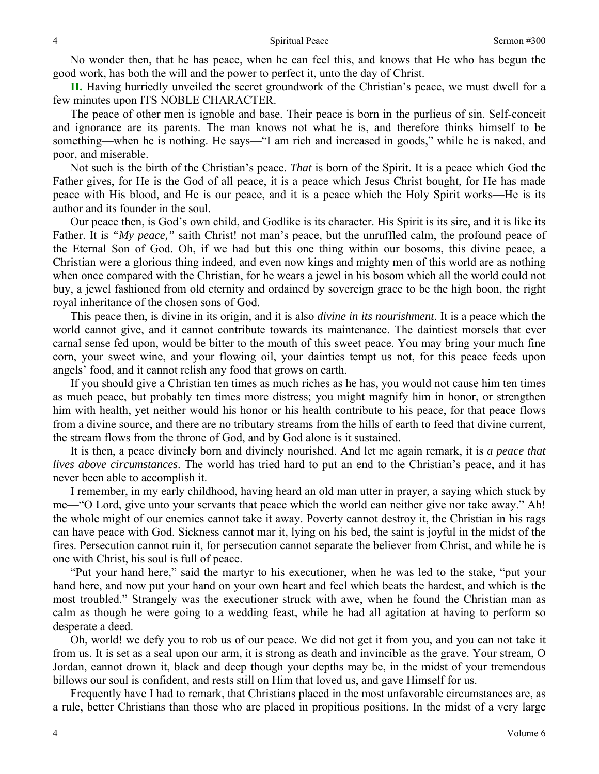No wonder then, that he has peace, when he can feel this, and knows that He who has begun the good work, has both the will and the power to perfect it, unto the day of Christ.

**II.** Having hurriedly unveiled the secret groundwork of the Christian's peace, we must dwell for a few minutes upon ITS NOBLE CHARACTER.

The peace of other men is ignoble and base. Their peace is born in the purlieus of sin. Self-conceit and ignorance are its parents. The man knows not what he is, and therefore thinks himself to be something—when he is nothing. He says—"I am rich and increased in goods," while he is naked, and poor, and miserable.

Not such is the birth of the Christian's peace. *That* is born of the Spirit. It is a peace which God the Father gives, for He is the God of all peace, it is a peace which Jesus Christ bought, for He has made peace with His blood, and He is our peace, and it is a peace which the Holy Spirit works—He is its author and its founder in the soul.

Our peace then, is God's own child, and Godlike is its character. His Spirit is its sire, and it is like its Father. It is *"My peace,"* saith Christ! not man's peace, but the unruffled calm, the profound peace of the Eternal Son of God. Oh, if we had but this one thing within our bosoms, this divine peace, a Christian were a glorious thing indeed, and even now kings and mighty men of this world are as nothing when once compared with the Christian, for he wears a jewel in his bosom which all the world could not buy, a jewel fashioned from old eternity and ordained by sovereign grace to be the high boon, the right royal inheritance of the chosen sons of God.

This peace then, is divine in its origin, and it is also *divine in its nourishment*. It is a peace which the world cannot give, and it cannot contribute towards its maintenance. The daintiest morsels that ever carnal sense fed upon, would be bitter to the mouth of this sweet peace. You may bring your much fine corn, your sweet wine, and your flowing oil, your dainties tempt us not, for this peace feeds upon angels' food, and it cannot relish any food that grows on earth.

If you should give a Christian ten times as much riches as he has, you would not cause him ten times as much peace, but probably ten times more distress; you might magnify him in honor, or strengthen him with health, yet neither would his honor or his health contribute to his peace, for that peace flows from a divine source, and there are no tributary streams from the hills of earth to feed that divine current, the stream flows from the throne of God, and by God alone is it sustained.

It is then, a peace divinely born and divinely nourished. And let me again remark, it is *a peace that lives above circumstances*. The world has tried hard to put an end to the Christian's peace, and it has never been able to accomplish it.

I remember, in my early childhood, having heard an old man utter in prayer, a saying which stuck by me—"O Lord, give unto your servants that peace which the world can neither give nor take away." Ah! the whole might of our enemies cannot take it away. Poverty cannot destroy it, the Christian in his rags can have peace with God. Sickness cannot mar it, lying on his bed, the saint is joyful in the midst of the fires. Persecution cannot ruin it, for persecution cannot separate the believer from Christ, and while he is one with Christ, his soul is full of peace.

"Put your hand here," said the martyr to his executioner, when he was led to the stake, "put your hand here, and now put your hand on your own heart and feel which beats the hardest, and which is the most troubled." Strangely was the executioner struck with awe, when he found the Christian man as calm as though he were going to a wedding feast, while he had all agitation at having to perform so desperate a deed.

Oh, world! we defy you to rob us of our peace. We did not get it from you, and you can not take it from us. It is set as a seal upon our arm, it is strong as death and invincible as the grave. Your stream, O Jordan, cannot drown it, black and deep though your depths may be, in the midst of your tremendous billows our soul is confident, and rests still on Him that loved us, and gave Himself for us.

Frequently have I had to remark, that Christians placed in the most unfavorable circumstances are, as a rule, better Christians than those who are placed in propitious positions. In the midst of a very large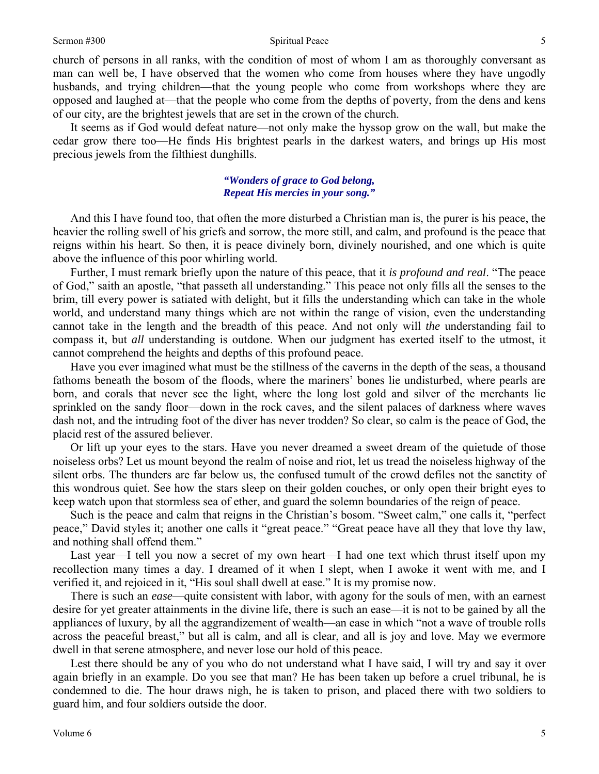church of persons in all ranks, with the condition of most of whom I am as thoroughly conversant as man can well be, I have observed that the women who come from houses where they have ungodly husbands, and trying children—that the young people who come from workshops where they are opposed and laughed at—that the people who come from the depths of poverty, from the dens and kens of our city, are the brightest jewels that are set in the crown of the church.

It seems as if God would defeat nature—not only make the hyssop grow on the wall, but make the cedar grow there too—He finds His brightest pearls in the darkest waters, and brings up His most precious jewels from the filthiest dunghills.

## *"Wonders of grace to God belong, Repeat His mercies in your song."*

And this I have found too, that often the more disturbed a Christian man is, the purer is his peace, the heavier the rolling swell of his griefs and sorrow, the more still, and calm, and profound is the peace that reigns within his heart. So then, it is peace divinely born, divinely nourished, and one which is quite above the influence of this poor whirling world.

Further, I must remark briefly upon the nature of this peace, that it *is profound and real*. "The peace of God," saith an apostle, "that passeth all understanding." This peace not only fills all the senses to the brim, till every power is satiated with delight, but it fills the understanding which can take in the whole world, and understand many things which are not within the range of vision, even the understanding cannot take in the length and the breadth of this peace. And not only will *the* understanding fail to compass it, but *all* understanding is outdone. When our judgment has exerted itself to the utmost, it cannot comprehend the heights and depths of this profound peace.

Have you ever imagined what must be the stillness of the caverns in the depth of the seas, a thousand fathoms beneath the bosom of the floods, where the mariners' bones lie undisturbed, where pearls are born, and corals that never see the light, where the long lost gold and silver of the merchants lie sprinkled on the sandy floor—down in the rock caves, and the silent palaces of darkness where waves dash not, and the intruding foot of the diver has never trodden? So clear, so calm is the peace of God, the placid rest of the assured believer.

Or lift up your eyes to the stars. Have you never dreamed a sweet dream of the quietude of those noiseless orbs? Let us mount beyond the realm of noise and riot, let us tread the noiseless highway of the silent orbs. The thunders are far below us, the confused tumult of the crowd defiles not the sanctity of this wondrous quiet. See how the stars sleep on their golden couches, or only open their bright eyes to keep watch upon that stormless sea of ether, and guard the solemn boundaries of the reign of peace.

Such is the peace and calm that reigns in the Christian's bosom. "Sweet calm," one calls it, "perfect peace," David styles it; another one calls it "great peace." "Great peace have all they that love thy law, and nothing shall offend them."

Last year—I tell you now a secret of my own heart—I had one text which thrust itself upon my recollection many times a day. I dreamed of it when I slept, when I awoke it went with me, and I verified it, and rejoiced in it, "His soul shall dwell at ease." It is my promise now.

There is such an *ease*—quite consistent with labor, with agony for the souls of men, with an earnest desire for yet greater attainments in the divine life, there is such an ease—it is not to be gained by all the appliances of luxury, by all the aggrandizement of wealth—an ease in which "not a wave of trouble rolls across the peaceful breast," but all is calm, and all is clear, and all is joy and love. May we evermore dwell in that serene atmosphere, and never lose our hold of this peace.

Lest there should be any of you who do not understand what I have said, I will try and say it over again briefly in an example. Do you see that man? He has been taken up before a cruel tribunal, he is condemned to die. The hour draws nigh, he is taken to prison, and placed there with two soldiers to guard him, and four soldiers outside the door.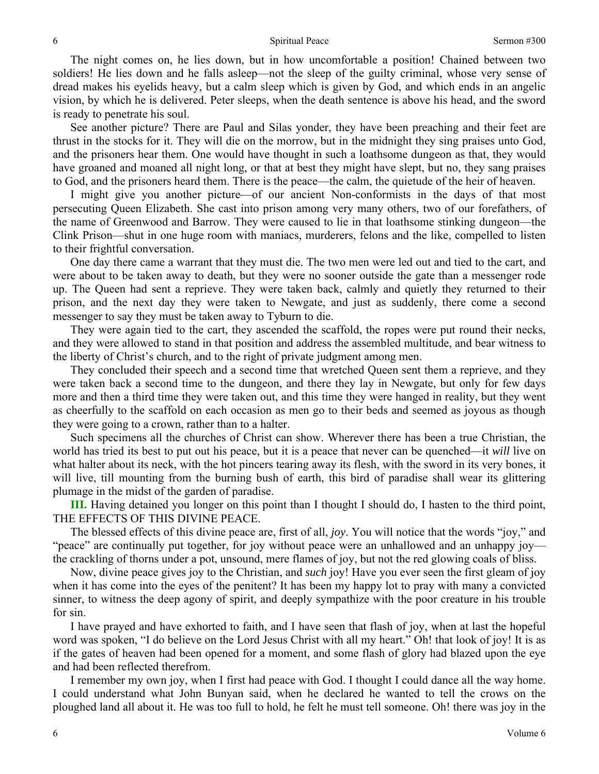#### Spiritual Peace Sermon #300

The night comes on, he lies down, but in how uncomfortable a position! Chained between two soldiers! He lies down and he falls asleep—not the sleep of the guilty criminal, whose very sense of dread makes his eyelids heavy, but a calm sleep which is given by God, and which ends in an angelic vision, by which he is delivered. Peter sleeps, when the death sentence is above his head, and the sword is ready to penetrate his soul.

See another picture? There are Paul and Silas yonder, they have been preaching and their feet are thrust in the stocks for it. They will die on the morrow, but in the midnight they sing praises unto God, and the prisoners hear them. One would have thought in such a loathsome dungeon as that, they would have groaned and moaned all night long, or that at best they might have slept, but no, they sang praises to God, and the prisoners heard them. There is the peace—the calm, the quietude of the heir of heaven.

I might give you another picture—of our ancient Non-conformists in the days of that most persecuting Queen Elizabeth. She cast into prison among very many others, two of our forefathers, of the name of Greenwood and Barrow. They were caused to lie in that loathsome stinking dungeon—the Clink Prison—shut in one huge room with maniacs, murderers, felons and the like, compelled to listen to their frightful conversation.

One day there came a warrant that they must die. The two men were led out and tied to the cart, and were about to be taken away to death, but they were no sooner outside the gate than a messenger rode up. The Queen had sent a reprieve. They were taken back, calmly and quietly they returned to their prison, and the next day they were taken to Newgate, and just as suddenly, there come a second messenger to say they must be taken away to Tyburn to die.

They were again tied to the cart, they ascended the scaffold, the ropes were put round their necks, and they were allowed to stand in that position and address the assembled multitude, and bear witness to the liberty of Christ's church, and to the right of private judgment among men.

They concluded their speech and a second time that wretched Queen sent them a reprieve, and they were taken back a second time to the dungeon, and there they lay in Newgate, but only for few days more and then a third time they were taken out, and this time they were hanged in reality, but they went as cheerfully to the scaffold on each occasion as men go to their beds and seemed as joyous as though they were going to a crown, rather than to a halter.

Such specimens all the churches of Christ can show. Wherever there has been a true Christian, the world has tried its best to put out his peace, but it is a peace that never can be quenched—it *will* live on what halter about its neck, with the hot pincers tearing away its flesh, with the sword in its very bones, it will live, till mounting from the burning bush of earth, this bird of paradise shall wear its glittering plumage in the midst of the garden of paradise.

**III.** Having detained you longer on this point than I thought I should do, I hasten to the third point, THE EFFECTS OF THIS DIVINE PEACE.

The blessed effects of this divine peace are, first of all, *joy*. You will notice that the words "joy," and "peace" are continually put together, for joy without peace were an unhallowed and an unhappy joy the crackling of thorns under a pot, unsound, mere flames of joy, but not the red glowing coals of bliss.

Now, divine peace gives joy to the Christian, and *such* joy! Have you ever seen the first gleam of joy when it has come into the eyes of the penitent? It has been my happy lot to pray with many a convicted sinner, to witness the deep agony of spirit, and deeply sympathize with the poor creature in his trouble for sin.

I have prayed and have exhorted to faith, and I have seen that flash of joy, when at last the hopeful word was spoken, "I do believe on the Lord Jesus Christ with all my heart." Oh! that look of joy! It is as if the gates of heaven had been opened for a moment, and some flash of glory had blazed upon the eye and had been reflected therefrom.

I remember my own joy, when I first had peace with God. I thought I could dance all the way home. I could understand what John Bunyan said, when he declared he wanted to tell the crows on the ploughed land all about it. He was too full to hold, he felt he must tell someone. Oh! there was joy in the

6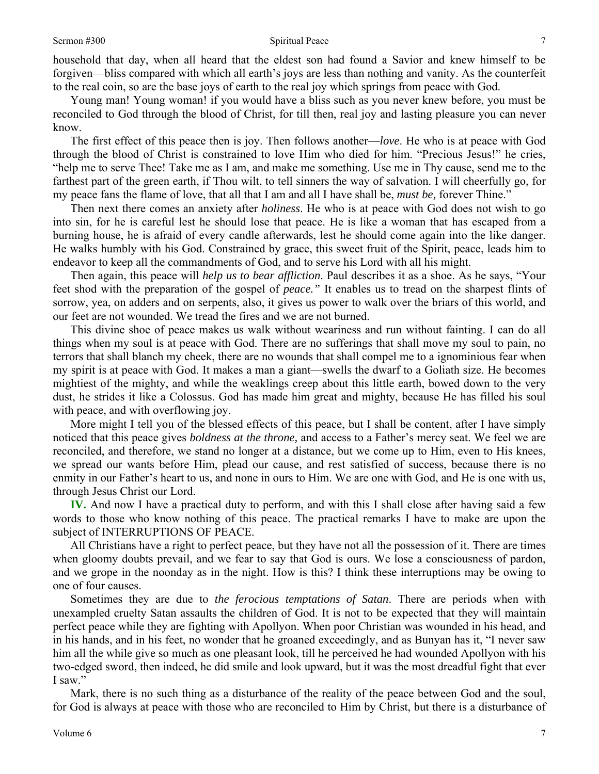### Sermon #300 Spiritual Peace

household that day, when all heard that the eldest son had found a Savior and knew himself to be forgiven—bliss compared with which all earth's joys are less than nothing and vanity. As the counterfeit to the real coin, so are the base joys of earth to the real joy which springs from peace with God.

Young man! Young woman! if you would have a bliss such as you never knew before, you must be reconciled to God through the blood of Christ, for till then, real joy and lasting pleasure you can never know.

The first effect of this peace then is joy. Then follows another—*love*. He who is at peace with God through the blood of Christ is constrained to love Him who died for him. "Precious Jesus!" he cries, "help me to serve Thee! Take me as I am, and make me something. Use me in Thy cause, send me to the farthest part of the green earth, if Thou wilt, to tell sinners the way of salvation. I will cheerfully go, for my peace fans the flame of love, that all that I am and all I have shall be, *must be,* forever Thine."

Then next there comes an anxiety after *holiness*. He who is at peace with God does not wish to go into sin, for he is careful lest he should lose that peace. He is like a woman that has escaped from a burning house, he is afraid of every candle afterwards, lest he should come again into the like danger. He walks humbly with his God. Constrained by grace, this sweet fruit of the Spirit, peace, leads him to endeavor to keep all the commandments of God, and to serve his Lord with all his might.

Then again, this peace will *help us to bear affliction*. Paul describes it as a shoe. As he says, "Your feet shod with the preparation of the gospel of *peace."* It enables us to tread on the sharpest flints of sorrow, yea, on adders and on serpents, also, it gives us power to walk over the briars of this world, and our feet are not wounded. We tread the fires and we are not burned.

This divine shoe of peace makes us walk without weariness and run without fainting. I can do all things when my soul is at peace with God. There are no sufferings that shall move my soul to pain, no terrors that shall blanch my cheek, there are no wounds that shall compel me to a ignominious fear when my spirit is at peace with God. It makes a man a giant—swells the dwarf to a Goliath size. He becomes mightiest of the mighty, and while the weaklings creep about this little earth, bowed down to the very dust, he strides it like a Colossus. God has made him great and mighty, because He has filled his soul with peace, and with overflowing joy.

More might I tell you of the blessed effects of this peace, but I shall be content, after I have simply noticed that this peace gives *boldness at the throne,* and access to a Father's mercy seat. We feel we are reconciled, and therefore, we stand no longer at a distance, but we come up to Him, even to His knees, we spread our wants before Him, plead our cause, and rest satisfied of success, because there is no enmity in our Father's heart to us, and none in ours to Him. We are one with God, and He is one with us, through Jesus Christ our Lord.

**IV.** And now I have a practical duty to perform, and with this I shall close after having said a few words to those who know nothing of this peace. The practical remarks I have to make are upon the subject of INTERRUPTIONS OF PEACE.

All Christians have a right to perfect peace, but they have not all the possession of it. There are times when gloomy doubts prevail, and we fear to say that God is ours. We lose a consciousness of pardon, and we grope in the noonday as in the night. How is this? I think these interruptions may be owing to one of four causes.

Sometimes they are due to *the ferocious temptations of Satan*. There are periods when with unexampled cruelty Satan assaults the children of God. It is not to be expected that they will maintain perfect peace while they are fighting with Apollyon. When poor Christian was wounded in his head, and in his hands, and in his feet, no wonder that he groaned exceedingly, and as Bunyan has it, "I never saw him all the while give so much as one pleasant look, till he perceived he had wounded Apollyon with his two-edged sword, then indeed, he did smile and look upward, but it was the most dreadful fight that ever I saw."

Mark, there is no such thing as a disturbance of the reality of the peace between God and the soul, for God is always at peace with those who are reconciled to Him by Christ, but there is a disturbance of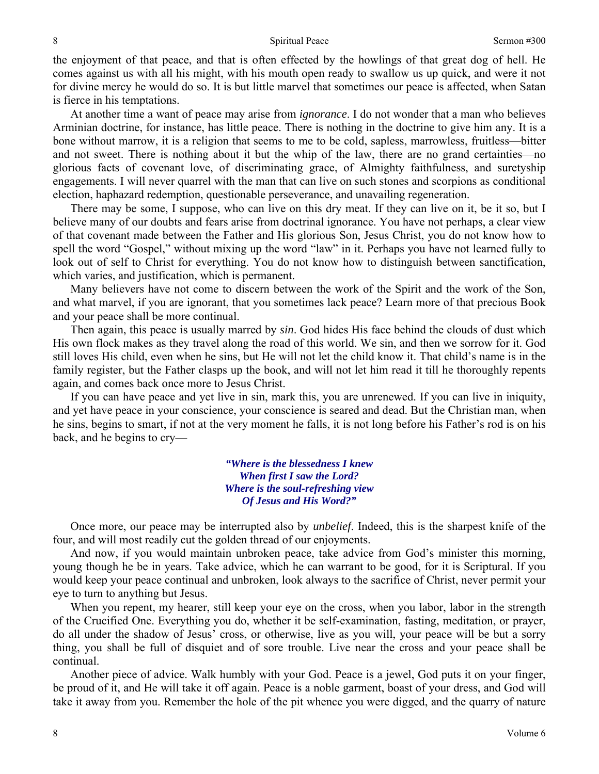the enjoyment of that peace, and that is often effected by the howlings of that great dog of hell. He comes against us with all his might, with his mouth open ready to swallow us up quick, and were it not for divine mercy he would do so. It is but little marvel that sometimes our peace is affected, when Satan is fierce in his temptations.

At another time a want of peace may arise from *ignorance*. I do not wonder that a man who believes Arminian doctrine, for instance, has little peace. There is nothing in the doctrine to give him any. It is a bone without marrow, it is a religion that seems to me to be cold, sapless, marrowless, fruitless—bitter and not sweet. There is nothing about it but the whip of the law, there are no grand certainties—no glorious facts of covenant love, of discriminating grace, of Almighty faithfulness, and suretyship engagements. I will never quarrel with the man that can live on such stones and scorpions as conditional election, haphazard redemption, questionable perseverance, and unavailing regeneration.

There may be some, I suppose, who can live on this dry meat. If they can live on it, be it so, but I believe many of our doubts and fears arise from doctrinal ignorance. You have not perhaps, a clear view of that covenant made between the Father and His glorious Son, Jesus Christ, you do not know how to spell the word "Gospel," without mixing up the word "law" in it. Perhaps you have not learned fully to look out of self to Christ for everything. You do not know how to distinguish between sanctification, which varies, and justification, which is permanent.

Many believers have not come to discern between the work of the Spirit and the work of the Son, and what marvel, if you are ignorant, that you sometimes lack peace? Learn more of that precious Book and your peace shall be more continual.

Then again, this peace is usually marred by *sin*. God hides His face behind the clouds of dust which His own flock makes as they travel along the road of this world. We sin, and then we sorrow for it. God still loves His child, even when he sins, but He will not let the child know it. That child's name is in the family register, but the Father clasps up the book, and will not let him read it till he thoroughly repents again, and comes back once more to Jesus Christ.

If you can have peace and yet live in sin, mark this, you are unrenewed. If you can live in iniquity, and yet have peace in your conscience, your conscience is seared and dead. But the Christian man, when he sins, begins to smart, if not at the very moment he falls, it is not long before his Father's rod is on his back, and he begins to cry—

> *"Where is the blessedness I knew When first I saw the Lord? Where is the soul-refreshing view Of Jesus and His Word?"*

Once more, our peace may be interrupted also by *unbelief*. Indeed, this is the sharpest knife of the four, and will most readily cut the golden thread of our enjoyments.

And now, if you would maintain unbroken peace, take advice from God's minister this morning, young though he be in years. Take advice, which he can warrant to be good, for it is Scriptural. If you would keep your peace continual and unbroken, look always to the sacrifice of Christ, never permit your eye to turn to anything but Jesus.

When you repent, my hearer, still keep your eye on the cross, when you labor, labor in the strength of the Crucified One. Everything you do, whether it be self-examination, fasting, meditation, or prayer, do all under the shadow of Jesus' cross, or otherwise, live as you will, your peace will be but a sorry thing, you shall be full of disquiet and of sore trouble. Live near the cross and your peace shall be continual.

Another piece of advice. Walk humbly with your God. Peace is a jewel, God puts it on your finger, be proud of it, and He will take it off again. Peace is a noble garment, boast of your dress, and God will take it away from you. Remember the hole of the pit whence you were digged, and the quarry of nature